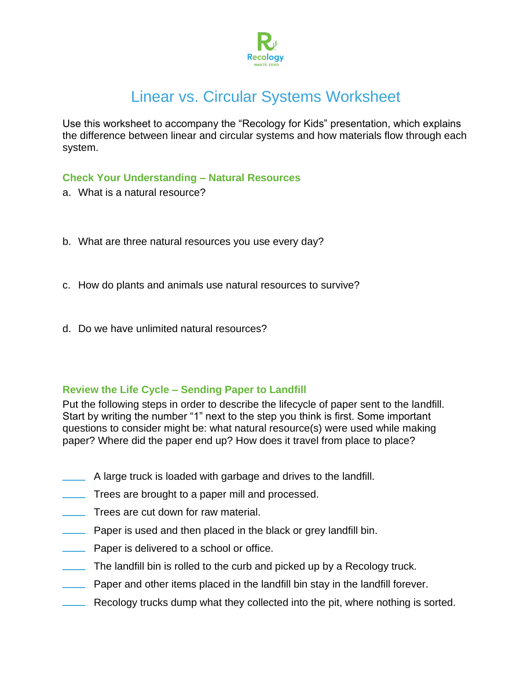

# Linear vs. Circular Systems Worksheet

Use this worksheet to accompany the "Recology for Kids" presentation, which explains the difference between linear and circular systems and how materials flow through each system.

# **Check Your Understanding – Natural Resources**

- a. What is a natural resource?
- b. What are three natural resources you use every day?
- c. How do plants and animals use natural resources to survive?
- d. Do we have unlimited natural resources?

#### **Review the Life Cycle – Sending Paper to Landfill**

Put the following steps in order to describe the lifecycle of paper sent to the landfill. Start by writing the number "1" next to the step you think is first. Some important questions to consider might be: what natural resource(s) were used while making paper? Where did the paper end up? How does it travel from place to place?

- A large truck is loaded with garbage and drives to the landfill.
- Trees are brought to a paper mill and processed.
- Trees are cut down for raw material.
- Paper is used and then placed in the black or grey landfill bin.
- Paper is delivered to a school or office.
- The landfill bin is rolled to the curb and picked up by a Recology truck.
- Paper and other items placed in the landfill bin stay in the landfill forever.
- Recology trucks dump what they collected into the pit, where nothing is sorted.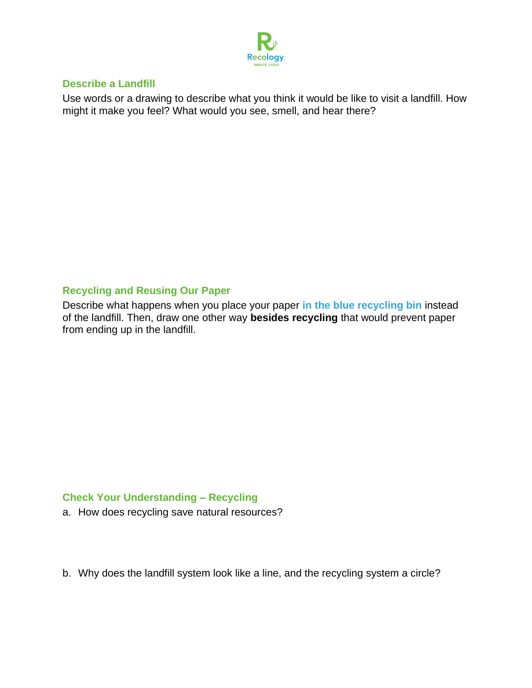

#### **Describe a Landfill**

Use words or a drawing to describe what you think it would be like to visit a landfill. How might it make you feel? What would you see, smell, and hear there?

# **Recycling and Reusing Our Paper**

Describe what happens when you place your paper **in the blue recycling bin** instead of the landfill. Then, draw one other way **besides recycling** that would prevent paper from ending up in the landfill.

# **Check Your Understanding – Recycling**

a. How does recycling save natural resources?

b. Why does the landfill system look like a line, and the recycling system a circle?